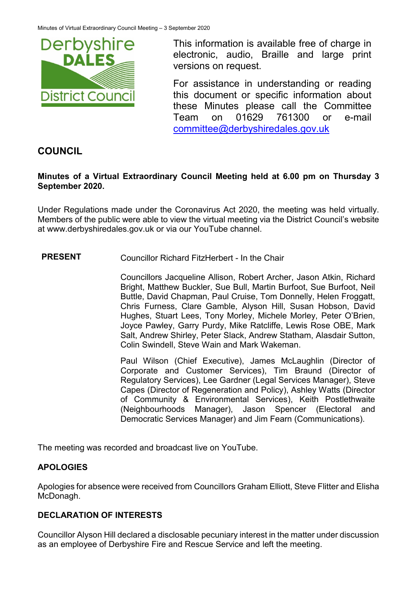

This information is available free of charge in electronic, audio, Braille and large print versions on request.

For assistance in understanding or reading this document or specific information about these Minutes please call the Committee Team on 01629 761300 or e-mail [committee@derbyshiredales.gov.uk](mailto:brian.evans@derbyshiredales.gov.uk) 

# **COUNCIL**

### **Minutes of a Virtual Extraordinary Council Meeting held at 6.00 pm on Thursday 3 September 2020.**

Under Regulations made under the Coronavirus Act 2020, the meeting was held virtually. Members of the public were able to view the virtual meeting via the District Council's website at [www.derbyshiredales.gov.uk](http://www.derbyshiredales.gov.uk/) or via our YouTube channel.

### **PRESENT** Councillor Richard FitzHerbert - In the Chair

Councillors Jacqueline Allison, Robert Archer, Jason Atkin, Richard Bright, Matthew Buckler, Sue Bull, Martin Burfoot, Sue Burfoot, Neil Buttle, David Chapman, Paul Cruise, Tom Donnelly, Helen Froggatt, Chris Furness, Clare Gamble, Alyson Hill, Susan Hobson, David Hughes, Stuart Lees, Tony Morley, Michele Morley, Peter O'Brien, Joyce Pawley, Garry Purdy, Mike Ratcliffe, Lewis Rose OBE, Mark Salt, Andrew Shirley, Peter Slack, Andrew Statham, Alasdair Sutton, Colin Swindell, Steve Wain and Mark Wakeman.

Paul Wilson (Chief Executive), James McLaughlin (Director of Corporate and Customer Services), Tim Braund (Director of Regulatory Services), Lee Gardner (Legal Services Manager), Steve Capes (Director of Regeneration and Policy), Ashley Watts (Director of Community & Environmental Services), Keith Postlethwaite (Neighbourhoods Manager), Jason Spencer (Electoral and Democratic Services Manager) and Jim Fearn (Communications).

The meeting was recorded and broadcast live on YouTube.

# **APOLOGIES**

Apologies for absence were received from Councillors Graham Elliott, Steve Flitter and Elisha McDonagh.

# **DECLARATION OF INTERESTS**

Councillor Alyson Hill declared a disclosable pecuniary interest in the matter under discussion as an employee of Derbyshire Fire and Rescue Service and left the meeting.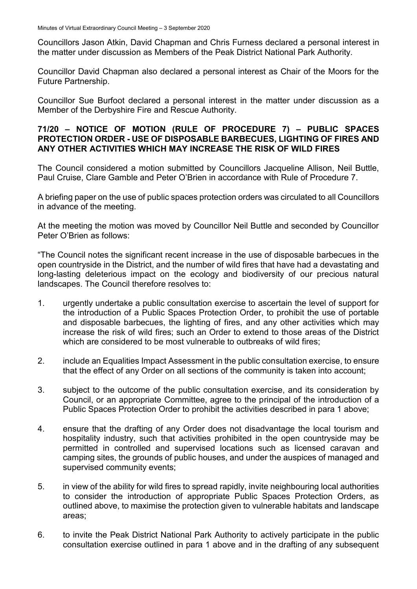Councillors Jason Atkin, David Chapman and Chris Furness declared a personal interest in the matter under discussion as Members of the Peak District National Park Authority.

Councillor David Chapman also declared a personal interest as Chair of the Moors for the Future Partnership.

Councillor Sue Burfoot declared a personal interest in the matter under discussion as a Member of the Derbyshire Fire and Rescue Authority.

### **71/20 – NOTICE OF MOTION (RULE OF PROCEDURE 7) – PUBLIC SPACES PROTECTION ORDER - USE OF DISPOSABLE BARBECUES, LIGHTING OF FIRES AND ANY OTHER ACTIVITIES WHICH MAY INCREASE THE RISK OF WILD FIRES**

The Council considered a motion submitted by Councillors Jacqueline Allison, Neil Buttle, Paul Cruise, Clare Gamble and Peter O'Brien in accordance with Rule of Procedure 7.

A briefing paper on the use of public spaces protection orders was circulated to all Councillors in advance of the meeting.

At the meeting the motion was moved by Councillor Neil Buttle and seconded by Councillor Peter O'Brien as follows:

"The Council notes the significant recent increase in the use of disposable barbecues in the open countryside in the District, and the number of wild fires that have had a devastating and long-lasting deleterious impact on the ecology and biodiversity of our precious natural landscapes. The Council therefore resolves to:

- 1. urgently undertake a public consultation exercise to ascertain the level of support for the introduction of a Public Spaces Protection Order, to prohibit the use of portable and disposable barbecues, the lighting of fires, and any other activities which may increase the risk of wild fires; such an Order to extend to those areas of the District which are considered to be most vulnerable to outbreaks of wild fires:
- 2. include an Equalities Impact Assessment in the public consultation exercise, to ensure that the effect of any Order on all sections of the community is taken into account;
- 3. subject to the outcome of the public consultation exercise, and its consideration by Council, or an appropriate Committee, agree to the principal of the introduction of a Public Spaces Protection Order to prohibit the activities described in para 1 above;
- 4. ensure that the drafting of any Order does not disadvantage the local tourism and hospitality industry, such that activities prohibited in the open countryside may be permitted in controlled and supervised locations such as licensed caravan and camping sites, the grounds of public houses, and under the auspices of managed and supervised community events;
- 5. in view of the ability for wild fires to spread rapidly, invite neighbouring local authorities to consider the introduction of appropriate Public Spaces Protection Orders, as outlined above, to maximise the protection given to vulnerable habitats and landscape areas;
- 6. to invite the Peak District National Park Authority to actively participate in the public consultation exercise outlined in para 1 above and in the drafting of any subsequent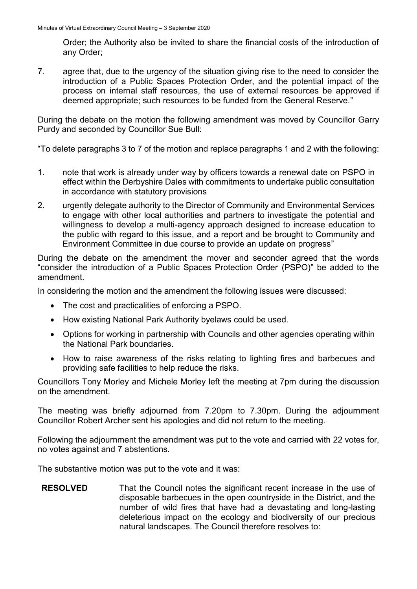Order; the Authority also be invited to share the financial costs of the introduction of any Order;

7. agree that, due to the urgency of the situation giving rise to the need to consider the introduction of a Public Spaces Protection Order, and the potential impact of the process on internal staff resources, the use of external resources be approved if deemed appropriate; such resources to be funded from the General Reserve."

During the debate on the motion the following amendment was moved by Councillor Garry Purdy and seconded by Councillor Sue Bull:

"To delete paragraphs 3 to 7 of the motion and replace paragraphs 1 and 2 with the following:

- 1. note that work is already under way by officers towards a renewal date on PSPO in effect within the Derbyshire Dales with commitments to undertake public consultation in accordance with statutory provisions
- 2. urgently delegate authority to the Director of Community and Environmental Services to engage with other local authorities and partners to investigate the potential and willingness to develop a multi-agency approach designed to increase education to the public with regard to this issue, and a report and be brought to Community and Environment Committee in due course to provide an update on progress"

During the debate on the amendment the mover and seconder agreed that the words "consider the introduction of a Public Spaces Protection Order (PSPO)" be added to the amendment.

In considering the motion and the amendment the following issues were discussed:

- The cost and practicalities of enforcing a PSPO.
- How existing National Park Authority byelaws could be used.
- Options for working in partnership with Councils and other agencies operating within the National Park boundaries.
- How to raise awareness of the risks relating to lighting fires and barbecues and providing safe facilities to help reduce the risks.

Councillors Tony Morley and Michele Morley left the meeting at 7pm during the discussion on the amendment.

The meeting was briefly adjourned from 7.20pm to 7.30pm. During the adjournment Councillor Robert Archer sent his apologies and did not return to the meeting.

Following the adjournment the amendment was put to the vote and carried with 22 votes for, no votes against and 7 abstentions.

The substantive motion was put to the vote and it was:

**RESOLVED** That the Council notes the significant recent increase in the use of disposable barbecues in the open countryside in the District, and the number of wild fires that have had a devastating and long-lasting deleterious impact on the ecology and biodiversity of our precious natural landscapes. The Council therefore resolves to: